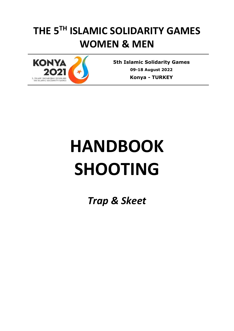# **THE 5TH ISLAMIC SOLIDARITY GAMES WOMEN & MEN**



**5th Islamic Solidarity Games 09-18 August 2022 Konya** *-* **TURKEY**

# **HANDBOOK SHOOTING**

*Trap & Skeet*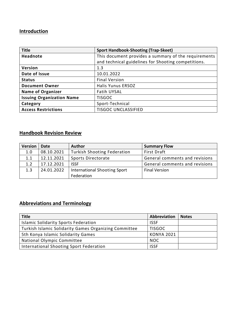### **Introduction**

| <b>Title</b>                     | <b>Sport Handbook-Shooting (Trap-Skeet)</b>          |  |
|----------------------------------|------------------------------------------------------|--|
| <b>Headnote</b>                  | This document provides a summary of the requirements |  |
|                                  | and technical guidelines for Shooting competitions.  |  |
| Version                          | 1.3                                                  |  |
| Date of Issue                    | 10.01.2022                                           |  |
| <b>Status</b>                    | <b>Final Version</b>                                 |  |
| <b>Document Owner</b>            | <b>Halis Yunus ERSOZ</b>                             |  |
| <b>Name of Organizer</b>         | Fatih UYSAL                                          |  |
| <b>Issuing Organization Name</b> | <b>TISGOC</b>                                        |  |
| Category                         | Sport-Technical                                      |  |
| <b>Access Restrictions</b>       | <b>TISGOC UNCLASSIFIED</b>                           |  |

# **Handbook Revision Review**

| <b>Version</b> | Date       | <b>Author</b>                              | <b>Summary Flow</b>            |
|----------------|------------|--------------------------------------------|--------------------------------|
| 1.0            | 08.10.2021 | <b>Turkish Shooting Federation</b>         | <b>First Draft</b>             |
| 1.1            | 12.11.2021 | Sports Directorate                         | General comments and revisions |
| 1.2            | 17.12.2021 | <b>ISSF</b>                                | General comments and revisions |
| 1.3            | 24.01.2022 | International Shooting Sport<br>Federation | <b>Final Version</b>           |

## **Abbreviations and Terminology**

| <b>Title</b>                                          | Abbreviation      | <b>Notes</b> |
|-------------------------------------------------------|-------------------|--------------|
| <b>Islamic Solidarity Sports Federation</b>           | <b>ISSF</b>       |              |
| Turkish Islamic Solidarity Games Organizing Committee | <b>TISGOC</b>     |              |
| 5th Konya Islamic Solidarity Games                    | <b>KONYA 2021</b> |              |
| National Olympic Committee                            | <b>NOC</b>        |              |
| International Shooting Sport Federation               | <b>ISSF</b>       |              |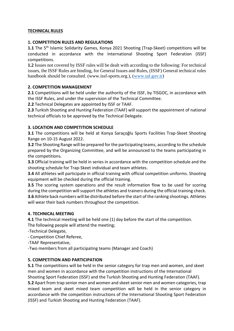#### **TECHNICAL RULES**

#### **1. COMPETITION RULES AND REGULATIONS**

1.1 The 5<sup>th</sup> Islamic Solidarity Games, Konya 2021 Shooting (Trap-Skeet) competitions will be conducted in accordance with the International Shooting Sport Federation (ISSF) competitions.

**1.2** Issues not covered by ISSF rules will be dealt with according to the following: For technical issues, the ISSF Rules are binding, for General Issues and Rules, (ISSF) General technical rules handbook should be consulted. (www.issf-sports.org.), [\(www.taf.gov.tr\)](http://www.taf.gov.tr/)

#### **2. COMPETITION MANAGEMENT**

**2.1** Competitions will be held under the authority of the ISSF, by TISGOC, in accordance with the ISSF Rules, and under the supervision of the Technical Committee.

**2.2** Technical Delegates are appointed by ISSF or TAAF.

**2.3** Turkish Shooting and Hunting Federation (TAAF) will support the appointment of national technical officials to be approved by the Technical Delegate.

#### **3. LOCATION AND COMPETITION SCHEDULE**

**3.1** The competitions will be held at Konya Saraçoğlu Sports Facilities Trap-Skeet Shooting Range on 10-15 August 2022.

**3.2** The Shooting Range will be prepared for the participating teams, according to the schedule prepared by the Organizing Committee, and will be announced to the teams participating in the competitions.

**3.3** Official training will be held in series in accordance with the competition schedule and the shooting schedule for Trap-Skeet individual and team athletes.

**3.4** All athletes will participate in official training with official competition uniforms. Shooting equipment will be checked during the official training.

**3.5** The scoring system operations and the result information flow to be used for scoring during the competition will support the athletes and trainers during the official training check. **3.6** Athlete back numbers will be distributed before the start of the ranking shootings. Athletes will wear their back numbers throughout the competition.

#### **4. TECHNICAL MEETING**

**4.1** The technical meeting will be held one (1) day before the start of the competition.

The following people will attend the meeting;

- -Technical Delegate,
- Competition Chief Referee,
- -TAAF Representative,

-Two members from all participating teams (Manager and Coach)

#### **5. COMPETITION AND PARTICIPATION**

**5.1** The competitions will be held in the senior category for trap men and women, and skeet men and women in accordance with the competition instructions of the International Shooting Sport Federation (ISSF) and the Turkish Shooting and Hunting Federation (TAAF).

**5.2** Apart from trap senior men and women and skeet senior men and women categories, trap mixed team and skeet mixed team competition will be held in the senior category in accordance with the competition instructions of the International Shooting Sport Federation (ISSF) and Turkish Shooting and Hunting Federation (TAAF).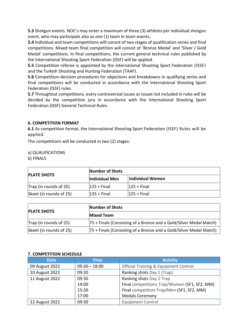**5.3** Shotgun events. NOC's may enter a maximum of three (3) athletes per individual shotgun event, who may participate also as one (1) team in team events.

**5.4** Individual and team competitions will consist of two stages of qualification series and final competitions. Mixed team final competition will consist of 'Bronze Medal' and 'Silver / Gold Medal' competitions. In final competitions, the current general technical rules published by the International Shooting Sport Federation (ISSF) will be applied.

**5.5** Competition referee is appointed by the International Shooting Sport Federation (ISSF) and the Turkish Shooting and Hunting Federation (TAAF).

**5.6** Competition decision procedures for objections and breakdowns in qualifying series and final competitions will be conducted in accordance with the International Shooting Sport Federation (ISSF) rules.

**5.7** Throughout competitions, every controversial issues or issues not included in rules will be decided by the competition jury in accordance with the International Shooting Sport Federation (ISSF) General Technical Rules.

#### **6. COMPETITION FORMAT**

**6.1** As competition format, the International Shooting Sport Federation (ISSF) Rules will be applied.

The competitions will be conducted in two (2) stages:

a) QUALIFICATIONS

b) FINALS

|                                | Number of Shots |                  |  |
|--------------------------------|-----------------|------------------|--|
| <b>PLATE SHOTS</b>             | Individual Men  | Individual Women |  |
| $\vert$ Trap (in rounds of 25) | $125 + Find$    | $125 + Find$     |  |
| Skeet (in rounds of 25)        | $125 +$ Final   | $125 + Find$     |  |

|                         | Number of Shots                                                     |
|-------------------------|---------------------------------------------------------------------|
| <b>PLATE SHOTS</b>      | <b>Mixed Team</b>                                                   |
| Trap (in rounds of 25)  | [75 + Finals (Consisting of a Bronze and a Gold/Silver Medal Match) |
| Skeet (in rounds of 25) | [75 + Finals (Consisting of a Bronze and a Gold/Silver Medal Match) |

#### **7. COMPETITION SCHEDULE**

| <b>Date</b>    | Time            | <b>Activity</b>                                  |
|----------------|-----------------|--------------------------------------------------|
| 09 August 2022 | $09:30 - 18:00$ | <b>Official Training &amp; Equipment Control</b> |
| 10 August 2022 | 09:30           | Ranking shots Day 1 (Trap)                       |
| 11 August 2022 | 09:30           | Ranking shots Day 2 Trap                         |
|                | 14:00           | Final competitions Trap/Women (SF1, SF2, MM)     |
|                | 15:30           | Final competition Trap/Men (SF1, SF2, MM)        |
|                | 17:00           | <b>Medals Ceremony</b>                           |
| 12 August 2022 | 09:30           | <b>Equipment Control</b>                         |